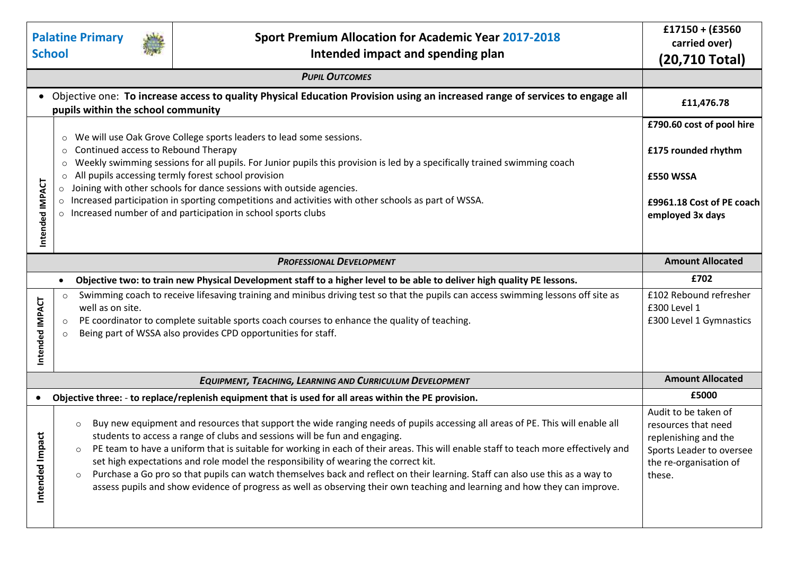|                                                                                                                                                                    |                                                                                                                                                                                                                                                                                                                                                                                                                                                                                                                                                                                                                   |                                                                                                                                                                                                                                                                                                                                                                                                                                                                                                                                                                                                                                                                                                          | $£17150 + (£3560$                                                                                                                   |
|--------------------------------------------------------------------------------------------------------------------------------------------------------------------|-------------------------------------------------------------------------------------------------------------------------------------------------------------------------------------------------------------------------------------------------------------------------------------------------------------------------------------------------------------------------------------------------------------------------------------------------------------------------------------------------------------------------------------------------------------------------------------------------------------------|----------------------------------------------------------------------------------------------------------------------------------------------------------------------------------------------------------------------------------------------------------------------------------------------------------------------------------------------------------------------------------------------------------------------------------------------------------------------------------------------------------------------------------------------------------------------------------------------------------------------------------------------------------------------------------------------------------|-------------------------------------------------------------------------------------------------------------------------------------|
|                                                                                                                                                                    | <b>Palatine Primary</b><br><b>Sport Premium Allocation for Academic Year 2017-2018</b><br><b>School</b>                                                                                                                                                                                                                                                                                                                                                                                                                                                                                                           |                                                                                                                                                                                                                                                                                                                                                                                                                                                                                                                                                                                                                                                                                                          | carried over)                                                                                                                       |
|                                                                                                                                                                    |                                                                                                                                                                                                                                                                                                                                                                                                                                                                                                                                                                                                                   | Intended impact and spending plan                                                                                                                                                                                                                                                                                                                                                                                                                                                                                                                                                                                                                                                                        | (20,710 Total)                                                                                                                      |
|                                                                                                                                                                    |                                                                                                                                                                                                                                                                                                                                                                                                                                                                                                                                                                                                                   |                                                                                                                                                                                                                                                                                                                                                                                                                                                                                                                                                                                                                                                                                                          |                                                                                                                                     |
| Objective one: To increase access to quality Physical Education Provision using an increased range of services to engage all<br>pupils within the school community | £11,476.78                                                                                                                                                                                                                                                                                                                                                                                                                                                                                                                                                                                                        |                                                                                                                                                                                                                                                                                                                                                                                                                                                                                                                                                                                                                                                                                                          |                                                                                                                                     |
| Intended IMPACT                                                                                                                                                    | We will use Oak Grove College sports leaders to lead some sessions.<br>$\circ$<br>Continued access to Rebound Therapy<br>$\circ$<br>Weekly swimming sessions for all pupils. For Junior pupils this provision is led by a specifically trained swimming coach<br>$\circ$<br>All pupils accessing termly forest school provision<br>$\circ$<br>Joining with other schools for dance sessions with outside agencies.<br>$\circ$<br>Increased participation in sporting competitions and activities with other schools as part of WSSA.<br>$\circ$<br>o Increased number of and participation in school sports clubs | £790.60 cost of pool hire<br>£175 rounded rhythm<br>£550 WSSA<br>£9961.18 Cost of PE coach<br>employed 3x days                                                                                                                                                                                                                                                                                                                                                                                                                                                                                                                                                                                           |                                                                                                                                     |
| <b>PROFESSIONAL DEVELOPMENT</b>                                                                                                                                    |                                                                                                                                                                                                                                                                                                                                                                                                                                                                                                                                                                                                                   |                                                                                                                                                                                                                                                                                                                                                                                                                                                                                                                                                                                                                                                                                                          | <b>Amount Allocated</b>                                                                                                             |
| Objective two: to train new Physical Development staff to a higher level to be able to deliver high quality PE lessons.<br>$\bullet$                               |                                                                                                                                                                                                                                                                                                                                                                                                                                                                                                                                                                                                                   |                                                                                                                                                                                                                                                                                                                                                                                                                                                                                                                                                                                                                                                                                                          | £702                                                                                                                                |
| Intended IMPACT                                                                                                                                                    | $\circ$<br>well as on site.<br>$\circ$                                                                                                                                                                                                                                                                                                                                                                                                                                                                                                                                                                            | Swimming coach to receive lifesaving training and minibus driving test so that the pupils can access swimming lessons off site as<br>PE coordinator to complete suitable sports coach courses to enhance the quality of teaching.<br>Being part of WSSA also provides CPD opportunities for staff.                                                                                                                                                                                                                                                                                                                                                                                                       | £102 Rebound refresher<br>£300 Level 1<br>£300 Level 1 Gymnastics                                                                   |
|                                                                                                                                                                    |                                                                                                                                                                                                                                                                                                                                                                                                                                                                                                                                                                                                                   | <b>EQUIPMENT, TEACHING, LEARNING AND CURRICULUM DEVELOPMENT</b>                                                                                                                                                                                                                                                                                                                                                                                                                                                                                                                                                                                                                                          | <b>Amount Allocated</b>                                                                                                             |
| $\bullet$                                                                                                                                                          |                                                                                                                                                                                                                                                                                                                                                                                                                                                                                                                                                                                                                   | Objective three: - to replace/replenish equipment that is used for all areas within the PE provision.                                                                                                                                                                                                                                                                                                                                                                                                                                                                                                                                                                                                    | £5000                                                                                                                               |
| ã<br>Intended Imp                                                                                                                                                  | $\circ$                                                                                                                                                                                                                                                                                                                                                                                                                                                                                                                                                                                                           | Buy new equipment and resources that support the wide ranging needs of pupils accessing all areas of PE. This will enable all<br>students to access a range of clubs and sessions will be fun and engaging.<br>PE team to have a uniform that is suitable for working in each of their areas. This will enable staff to teach more effectively and<br>set high expectations and role model the responsibility of wearing the correct kit.<br>Purchase a Go pro so that pupils can watch themselves back and reflect on their learning. Staff can also use this as a way to<br>assess pupils and show evidence of progress as well as observing their own teaching and learning and how they can improve. | Audit to be taken of<br>resources that need<br>replenishing and the<br>Sports Leader to oversee<br>the re-organisation of<br>these. |